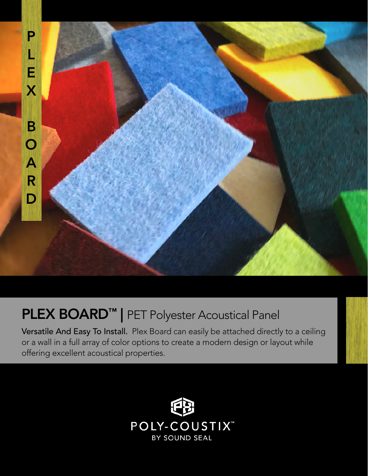

## PLEX BOARD<sup>™</sup> | PET Polyester Acoustical Panel

Versatile And Easy To Install. Plex Board can easily be attached directly to a ceiling or a wall in a full array of color options to create a modern design or layout while offering excellent acoustical properties.